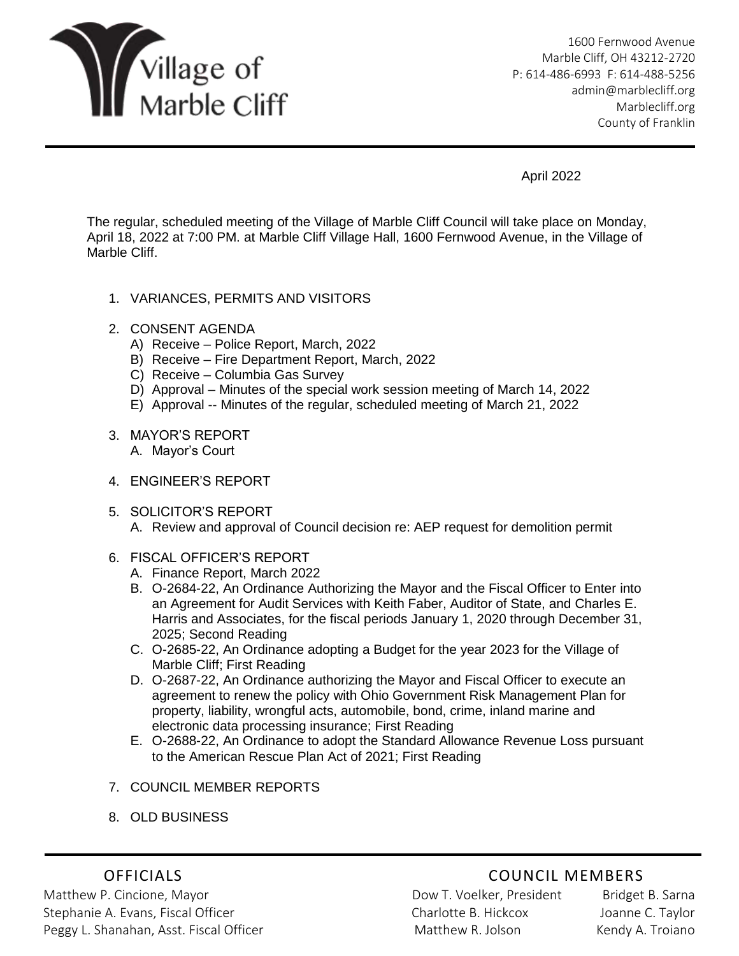

1600 Fernwood Avenue Marble Cliff, OH 43212-2720 P: 614-486-6993 F: 614-488-5256 [admin@marblecliff.org](mailto:admin@marblecliff.org) Marblecliff.org County of Franklin

April 2022

The regular, scheduled meeting of the Village of Marble Cliff Council will take place on Monday, April 18, 2022 at 7:00 PM. at Marble Cliff Village Hall, 1600 Fernwood Avenue, in the Village of Marble Cliff.

- 1. VARIANCES, PERMITS AND VISITORS
- 2. CONSENT AGENDA
	- A) Receive Police Report, March, 2022
	- B) Receive Fire Department Report, March, 2022
	- C) Receive Columbia Gas Survey
	- D) Approval Minutes of the special work session meeting of March 14, 2022
	- E) Approval -- Minutes of the regular, scheduled meeting of March 21, 2022
- 3. MAYOR'S REPORT A. Mayor's Court
- 4. ENGINEER'S REPORT
- 5. SOLICITOR'S REPORT A. Review and approval of Council decision re: AEP request for demolition permit
- 6. FISCAL OFFICER'S REPORT
	- A. Finance Report, March 2022
	- B. O-2684-22, An Ordinance Authorizing the Mayor and the Fiscal Officer to Enter into an Agreement for Audit Services with Keith Faber, Auditor of State, and Charles E. Harris and Associates, for the fiscal periods January 1, 2020 through December 31, 2025; Second Reading
	- C. O-2685-22, An Ordinance adopting a Budget for the year 2023 for the Village of Marble Cliff; First Reading
	- D. O-2687-22, An Ordinance authorizing the Mayor and Fiscal Officer to execute an agreement to renew the policy with Ohio Government Risk Management Plan for property, liability, wrongful acts, automobile, bond, crime, inland marine and electronic data processing insurance; First Reading
	- E. O-2688-22, An Ordinance to adopt the Standard Allowance Revenue Loss pursuant to the American Rescue Plan Act of 2021; First Reading
- 7. COUNCIL MEMBER REPORTS
- 8. OLD BUSINESS

Matthew P. Cincione, Mayor Nathawa Bridget B. Sarna Bridget B. Sarna Stephanie A. Evans, Fiscal Officer Charlotte B. Hickcox Joanne C. Taylor Peggy L. Shanahan, Asst. Fiscal Officer **Matthew R. Jolson Kendy A. Troiano** 

## OFFICIALS COUNCIL MEMBERS